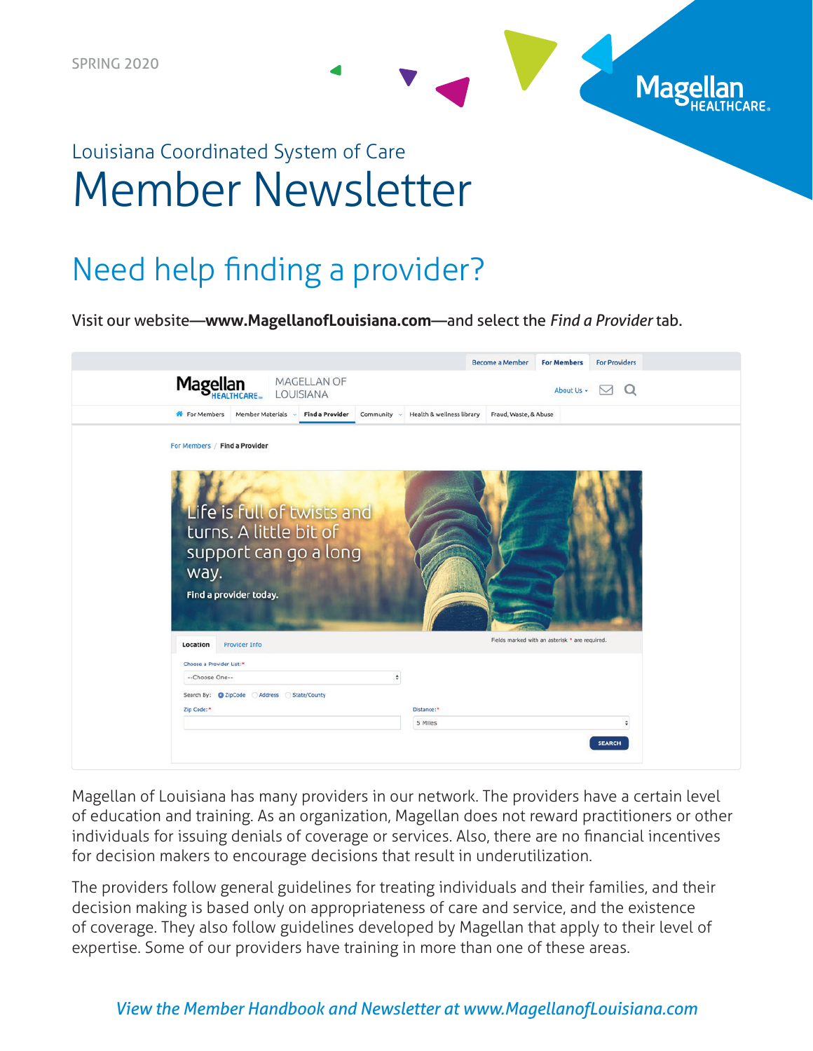

# Louisiana Coordinated System of Care Member Newsletter

### Need help finding a provider?

Visit our website―**www.MagellanofLouisiana.com**—and select the *Find a Provider* tab.

|                                           |                                                                               |            | Become a Member<br><b>For Members</b>          | <b>For Providers</b> |  |
|-------------------------------------------|-------------------------------------------------------------------------------|------------|------------------------------------------------|----------------------|--|
| Magellan                                  | MAGELLAN OF<br>LOUISIANA                                                      |            | About Us -                                     | $\Omega$<br>$\sim$   |  |
| <b>K</b> For Members                      | Member Materials v Find a Provider Community v Health & wellness library      |            | Fraud, Waste, & Abuse                          |                      |  |
| For Members / Find a Provider             |                                                                               |            |                                                |                      |  |
| way.<br>Find a provider today.            | Life is full of twists and<br>turns. A little bit of<br>support can go a long |            |                                                |                      |  |
| Location<br><b>Provider Info</b>          |                                                                               |            | Fields marked with an asterisk * are required. |                      |  |
| Choose a Provider List:*                  |                                                                               |            |                                                |                      |  |
| --Choose One--                            | $\ddot{\tau}$                                                                 |            |                                                |                      |  |
| Search By: C ZipCode Address State/County |                                                                               |            |                                                |                      |  |
| Zip Code:*                                |                                                                               | Distance:* |                                                |                      |  |
|                                           |                                                                               | 5 Miles    |                                                | ÷                    |  |
|                                           |                                                                               |            |                                                | <b>SEARCH</b>        |  |

Magellan of Louisiana has many providers in our network. The providers have a certain level of education and training. As an organization, Magellan does not reward practitioners or other individuals for issuing denials of coverage or services. Also, there are no financial incentives for decision makers to encourage decisions that result in underutilization.

The providers follow general guidelines for treating individuals and their families, and their decision making is based only on appropriateness of care and service, and the existence of coverage. They also follow guidelines developed by Magellan that apply to their level of expertise. Some of our providers have training in more than one of these areas.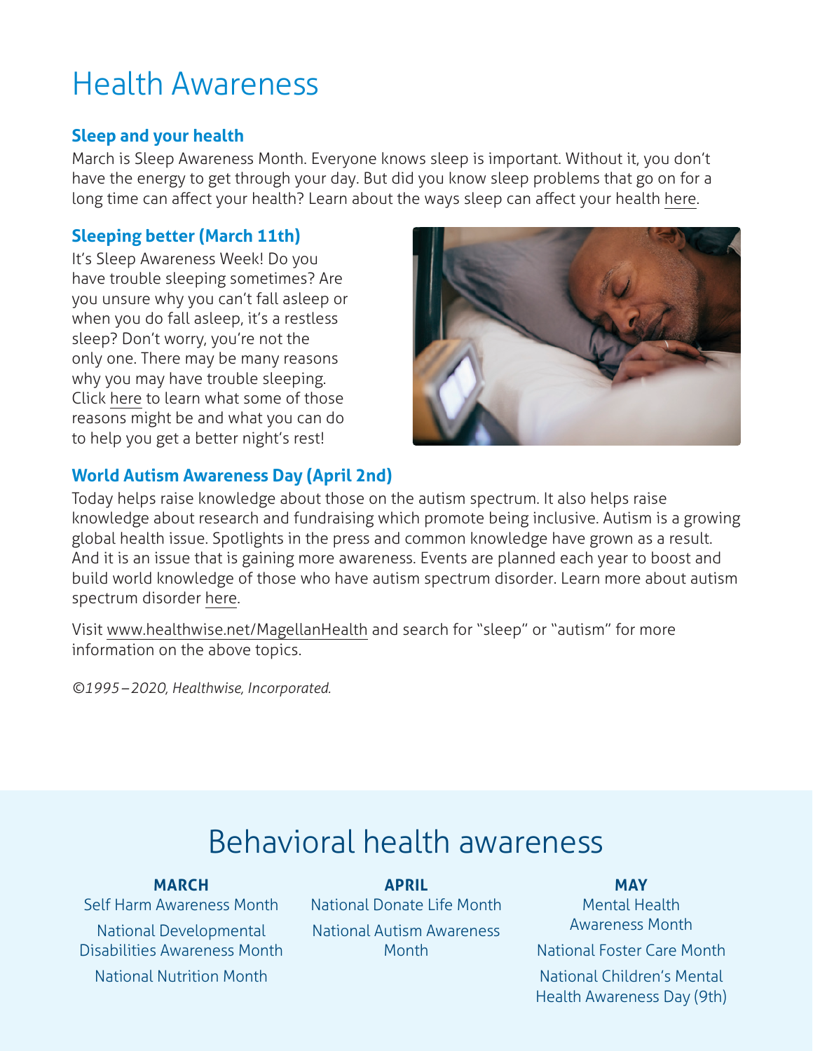## Health Awareness

#### **Sleep and your health**

March is Sleep Awareness Month. Everyone knows sleep is important. Without it, you don't have the energy to get through your day. But did you know sleep problems that go on for a long time can affect your health? Learn about the ways sleep can affect your health [here.](https://www.healthwise.net/magellanhealth/Content/StdDocument.aspx?DOCHWID=abq4925)

### **Sleeping better (March 11th)**

It's Sleep Awareness Week! Do you have trouble sleeping sometimes? Are you unsure why you can't fall asleep or when you do fall asleep, it's a restless sleep? Don't worry, you're not the only one. There may be many reasons why you may have trouble sleeping. Click [here](https://www.healthwise.net/magellanhealth/Content/StdDocument.aspx?DOCHWID=ug2268) to learn what some of those reasons might be and what you can do to help you get a better night's rest!



#### **World Autism Awareness Day (April 2nd)**

Today helps raise knowledge about those on the autism spectrum. It also helps raise knowledge about research and fundraising which promote being inclusive. Autism is a growing global health issue. Spotlights in the press and common knowledge have grown as a result. And it is an issue that is gaining more awareness. Events are planned each year to boost and build world knowledge of those who have autism spectrum disorder. Learn more about autism spectrum disorder [here.](https://www.healthwise.net/magellanhealth/Content/StdDocument.aspx?DOCHWID=hw152184)

Visit [www.healthwise.net/MagellanHealth](http://www.healthwise.net/Magellanhealth) and search for "sleep" or "autism" for more information on the above topics.

*©1995–2020, Healthwise, Incorporated.*

## Behavioral health awareness

#### **MARCH**

Self Harm Awareness Month National Developmental Disabilities Awareness Month National Nutrition Month

**APRIL**  National Donate Life Month National Autism Awareness Month

#### **MAY**

Mental Health Awareness Month National Foster Care Month National Children's Mental Health Awareness Day (9th)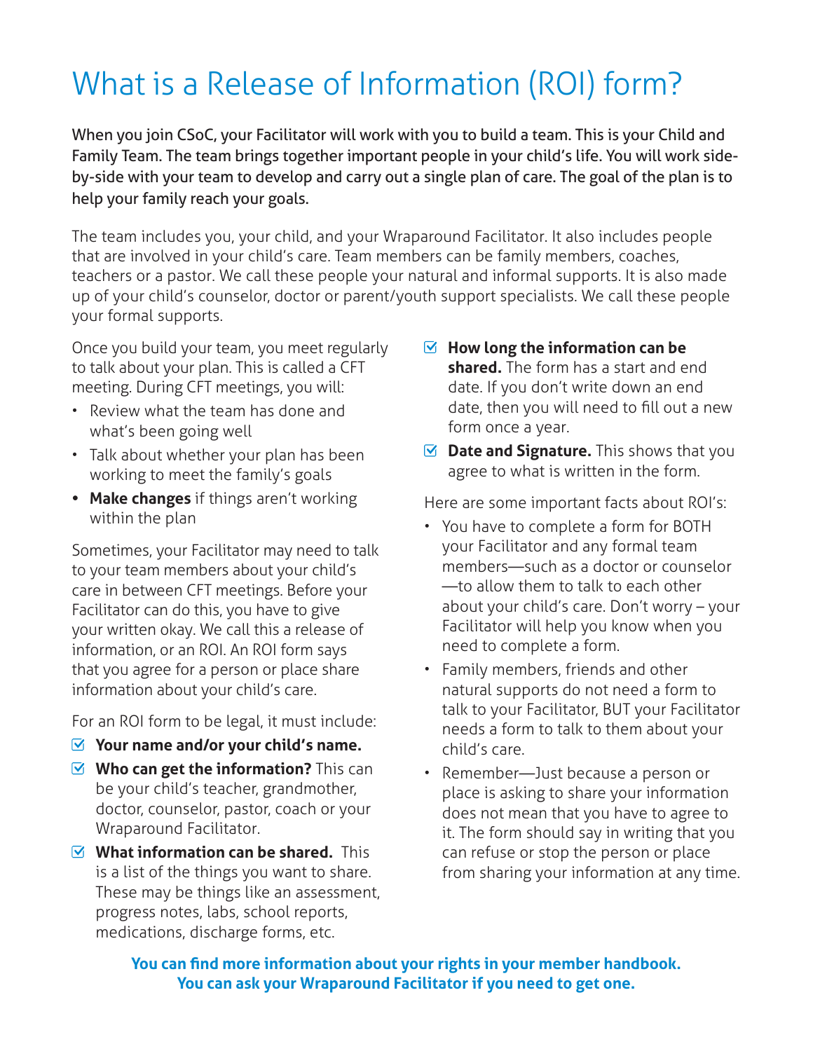# What is a Release of Information (ROI) form?

When you join CSoC, your Facilitator will work with you to build a team. This is your Child and Family Team. The team brings together important people in your child's life. You will work sideby-side with your team to develop and carry out a single plan of care. The goal of the plan is to help your family reach your goals.

The team includes you, your child, and your Wraparound Facilitator. It also includes people that are involved in your child's care. Team members can be family members, coaches, teachers or a pastor. We call these people your natural and informal supports. It is also made up of your child's counselor, doctor or parent/youth support specialists. We call these people your formal supports.

Once you build your team, you meet regularly to talk about your plan. This is called a CFT meeting. During CFT meetings, you will:

- Review what the team has done and what's been going well
- Talk about whether your plan has been working to meet the family's goals
- **• Make changes** if things aren't working within the plan

Sometimes, your Facilitator may need to talk to your team members about your child's care in between CFT meetings. Before your Facilitator can do this, you have to give your written okay. We call this a release of information, or an ROI. An ROI form says that you agree for a person or place share information about your child's care.

For an ROI form to be legal, it must include:

- **Your name and/or your child's name.**
- **Who can get the information?** This can be your child's teacher, grandmother, doctor, counselor, pastor, coach or your Wraparound Facilitator.
- **What information can be shared.** This is a list of the things you want to share. These may be things like an assessment, progress notes, labs, school reports, medications, discharge forms, etc.
- **How long the information can be shared.** The form has a start and end date. If you don't write down an end date, then you will need to fill out a new form once a year.
- $\blacksquare$  **Date and Signature.** This shows that you agree to what is written in the form.

Here are some important facts about ROI's:

- You have to complete a form for BOTH your Facilitator and any formal team members—such as a doctor or counselor —to allow them to talk to each other about your child's care. Don't worry – your Facilitator will help you know when you need to complete a form.
- Family members, friends and other natural supports do not need a form to talk to your Facilitator, BUT your Facilitator needs a form to talk to them about your child's care.
- Remember—Just because a person or place is asking to share your information does not mean that you have to agree to it. The form should say in writing that you can refuse or stop the person or place from sharing your information at any time.

**You can find more information about your rights in your member handbook. You can ask your Wraparound Facilitator if you need to get one.**